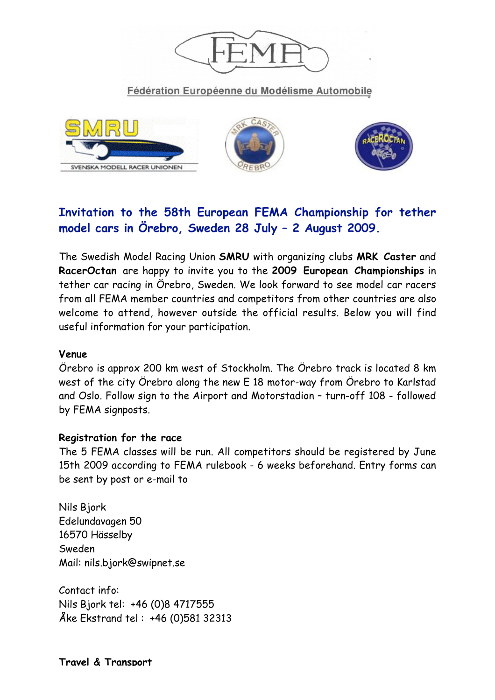

Fédération Européenne du Modélisme Automobile







# **Invitation to the 58th European FEMA Championship for tether model cars in Örebro, Sweden 28 July – 2 August 2009.**

The Swedish Model Racing Union **SMRU** with organizing clubs **MRK Caster** and **RacerOctan** are happy to invite you to the **2009 European Championships** in tether car racing in Örebro, Sweden. We look forward to see model car racers from all FEMA member countries and competitors from other countries are also welcome to attend, however outside the official results. Below you will find useful information for your participation.

#### **Venue**

Örebro is approx 200 km west of Stockholm. The Örebro track is located 8 km west of the city Örebro along the new E 18 motor-way from Örebro to Karlstad and Oslo. Follow sign to the Airport and Motorstadion – turn-off 108 - followed by FEMA signposts.

#### **Registration for the race**

The 5 FEMA classes will be run. All competitors should be registered by June 15th 2009 according to FEMA rulebook - 6 weeks beforehand. Entry forms can be sent by post or e-mail to

Nils Bjork Edelundavagen 50 16570 Hässelby Sweden Mail: nils.bjork@swipnet.se

Contact info: Nils Bjork tel: +46 (0)8 4717555 Åke Ekstrand tel : +46 (0)581 32313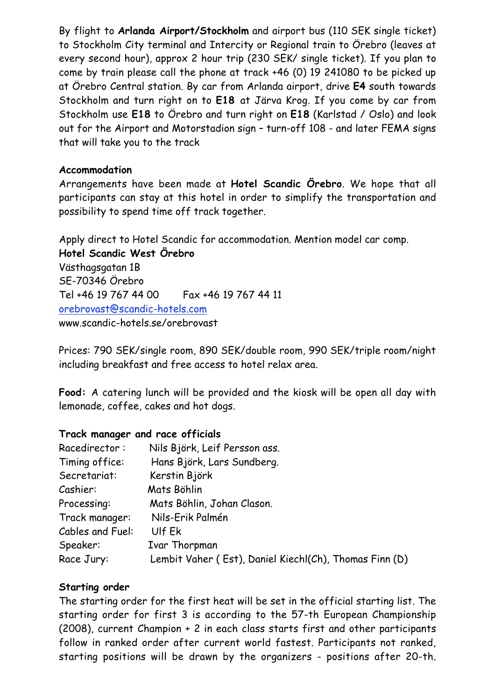By flight to **Arlanda Airport/Stockholm** and airport bus (110 SEK single ticket) to Stockholm City terminal and Intercity or Regional train to Örebro (leaves at every second hour), approx 2 hour trip (230 SEK/ single ticket). If you plan to come by train please call the phone at track +46 (0) 19 241080 to be picked up at Örebro Central station. By car from Arlanda airport, drive **E4** south towards Stockholm and turn right on to **E18** at Järva Krog. If you come by car from Stockholm use **E18** to Örebro and turn right on **E18** (Karlstad / Oslo) and look out for the Airport and Motorstadion sign – turn-off 108 - and later FEMA signs that will take you to the track

## **Accommodation**

Arrangements have been made at **Hotel Scandic Örebro**. We hope that all participants can stay at this hotel in order to simplify the transportation and possibility to spend time off track together.

Apply direct to Hotel Scandic for accommodation. Mention model car comp. **Hotel Scandic West Örebro** Västhagsgatan 1B SE-70346 Örebro Tel +46 19 767 44 00 Fax +46 19 767 44 11 orebrovast@scandic-hotels.com www.scandic-hotels.se/orebrovast

Prices: 790 SEK/single room, 890 SEK/double room, 990 SEK/triple room/night including breakfast and free access to hotel relax area.

**Food:** A catering lunch will be provided and the kiosk will be open all day with lemonade, coffee, cakes and hot dogs.

# **Track manager and race officials**

| Racedirector:    | Nils Björk, Leif Persson ass.                          |
|------------------|--------------------------------------------------------|
| Timing office:   | Hans Björk, Lars Sundberg.                             |
| Secretariat:     | Kerstin Björk                                          |
| Cashier:         | Mats Böhlin                                            |
| Processing:      | Mats Böhlin, Johan Clason.                             |
| Track manager:   | Nils-Erik Palmén                                       |
| Cables and Fuel: | Ulf Ek                                                 |
| Speaker:         | Ivar Thorpman                                          |
| Race Jury:       | Lembit Vaher (Est), Daniel Kiechl(Ch), Thomas Finn (D) |

# **Starting order**

The starting order for the first heat will be set in the official starting list. The starting order for first 3 is according to the 57-th European Championship (2008), current Champion + 2 in each class starts first and other participants follow in ranked order after current world fastest. Participants not ranked, starting positions will be drawn by the organizers - positions after 20-th.